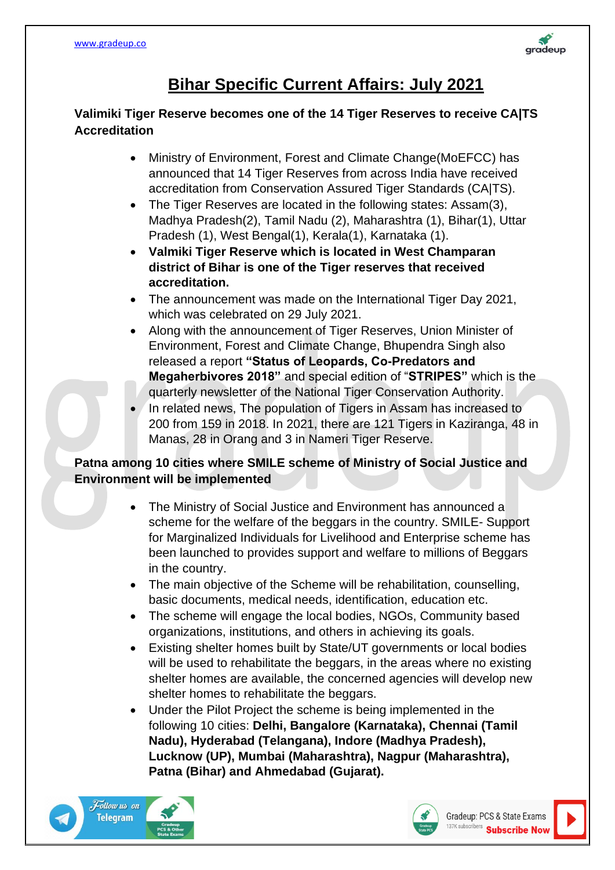

# **Bihar Specific Current Affairs: July 2021**

#### **Valimiki Tiger Reserve becomes one of the 14 Tiger Reserves to receive CA|TS Accreditation**

- Ministry of Environment, Forest and Climate Change(MoEFCC) has announced that 14 Tiger Reserves from across India have received accreditation from Conservation Assured Tiger Standards (CA|TS).
- The Tiger Reserves are located in the following states: Assam(3), Madhya Pradesh(2), Tamil Nadu (2), Maharashtra (1), Bihar(1), Uttar Pradesh (1), West Bengal(1), Kerala(1), Karnataka (1).
- **Valmiki Tiger Reserve which is located in West Champaran district of Bihar is one of the Tiger reserves that received accreditation.**
- The announcement was made on the International Tiger Day 2021, which was celebrated on 29 July 2021.
- Along with the announcement of Tiger Reserves, Union Minister of Environment, Forest and Climate Change, Bhupendra Singh also released a report **"Status of Leopards, Co-Predators and Megaherbivores 2018"** and special edition of "**STRIPES"** which is the quarterly newsletter of the National Tiger Conservation Authority.
- In related news, The population of Tigers in Assam has increased to 200 from 159 in 2018. In 2021, there are 121 Tigers in Kaziranga, 48 in Manas, 28 in Orang and 3 in Nameri Tiger Reserve.

## **Patna among 10 cities where SMILE scheme of Ministry of Social Justice and Environment will be implemented**

- The Ministry of Social Justice and Environment has announced a scheme for the welfare of the beggars in the country. SMILE- Support for Marginalized Individuals for Livelihood and Enterprise scheme has been launched to provides support and welfare to millions of Beggars in the country.
- The main objective of the Scheme will be rehabilitation, counselling, basic documents, medical needs, identification, education etc.
- The scheme will engage the local bodies, NGOs, Community based organizations, institutions, and others in achieving its goals.
- Existing shelter homes built by State/UT governments or local bodies will be used to rehabilitate the beggars, in the areas where no existing shelter homes are available, the concerned agencies will develop new shelter homes to rehabilitate the beggars.
- Under the Pilot Project the scheme is being implemented in the following 10 cities: **Delhi, Bangalore (Karnataka), Chennai (Tamil Nadu), Hyderabad (Telangana), Indore (Madhya Pradesh), Lucknow (UP), Mumbai (Maharashtra), Nagpur (Maharashtra), Patna (Bihar) and Ahmedabad (Gujarat).**



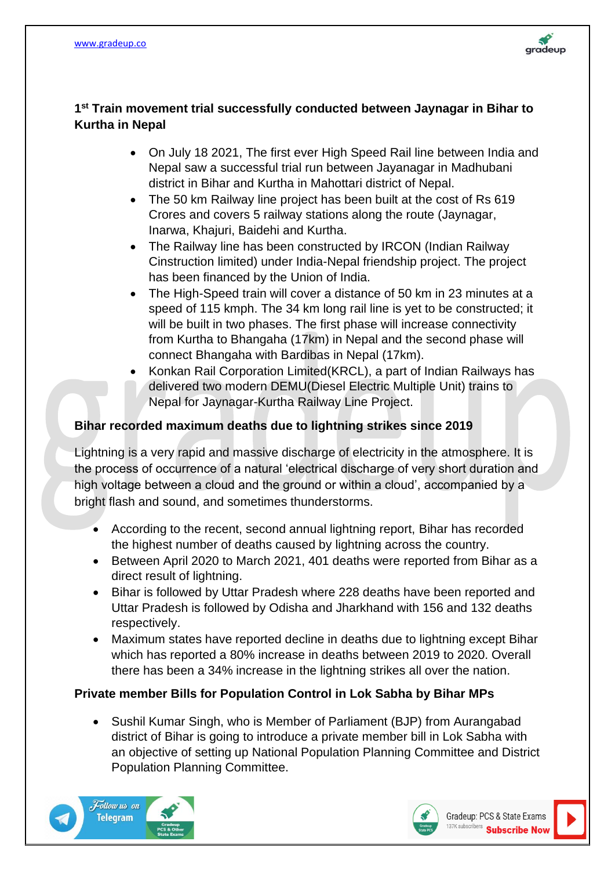

#### **1 st Train movement trial successfully conducted between Jaynagar in Bihar to Kurtha in Nepal**

- On July 18 2021, The first ever High Speed Rail line between India and Nepal saw a successful trial run between Jayanagar in Madhubani district in Bihar and Kurtha in Mahottari district of Nepal.
- The 50 km Railway line project has been built at the cost of Rs 619 Crores and covers 5 railway stations along the route (Jaynagar, Inarwa, Khajuri, Baidehi and Kurtha.
- The Railway line has been constructed by IRCON (Indian Railway Cinstruction limited) under India-Nepal friendship project. The project has been financed by the Union of India.
- The High-Speed train will cover a distance of 50 km in 23 minutes at a speed of 115 kmph. The 34 km long rail line is yet to be constructed; it will be built in two phases. The first phase will increase connectivity from Kurtha to Bhangaha (17km) in Nepal and the second phase will connect Bhangaha with Bardibas in Nepal (17km).
- Konkan Rail Corporation Limited(KRCL), a part of Indian Railways has delivered two modern DEMU(Diesel Electric Multiple Unit) trains to Nepal for Jaynagar-Kurtha Railway Line Project.

### **Bihar recorded maximum deaths due to lightning strikes since 2019**

Lightning is a very rapid and massive discharge of electricity in the atmosphere. It is the process of occurrence of a natural 'electrical discharge of very short duration and high voltage between a cloud and the ground or within a cloud', accompanied by a bright flash and sound, and sometimes thunderstorms.

- According to the recent, second annual lightning report, Bihar has recorded the highest number of deaths caused by lightning across the country.
- Between April 2020 to March 2021, 401 deaths were reported from Bihar as a direct result of lightning.
- Bihar is followed by Uttar Pradesh where 228 deaths have been reported and Uttar Pradesh is followed by Odisha and Jharkhand with 156 and 132 deaths respectively.
- Maximum states have reported decline in deaths due to lightning except Bihar which has reported a 80% increase in deaths between 2019 to 2020. Overall there has been a 34% increase in the lightning strikes all over the nation.

#### **Private member Bills for Population Control in Lok Sabha by Bihar MPs**

• Sushil Kumar Singh, who is Member of Parliament (BJP) from Aurangabad district of Bihar is going to introduce a private member bill in Lok Sabha with an objective of setting up National Population Planning Committee and District Population Planning Committee.